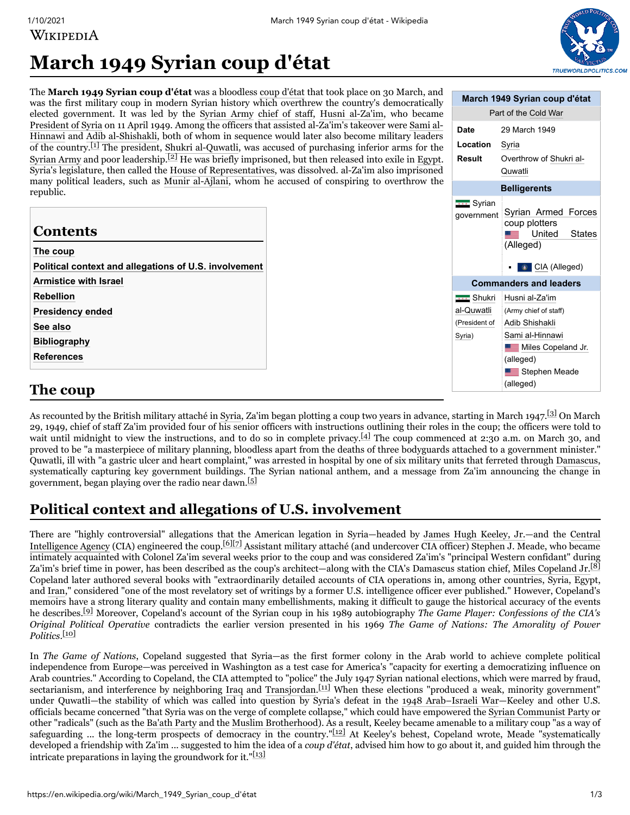# WIKIPEDIA



**March 1949 Syrian coup d'état** Part of the [Cold](https://en.wikipedia.org/wiki/Cold_War) War

**Result** [Overthrow](https://en.wikipedia.org/wiki/Shukri_al-Quwatli) of Shukri al-

**Date** 29 March 1949

**Location** [Syria](https://en.wikipedia.org/wiki/Syria)

## **March 1949 Syrian coup d'état**

The **March 1949 Syrian coup d'état** was a bloodless [coup d'état](https://en.wikipedia.org/wiki/Coup_d%27%C3%A9tat) that took place on 30 March, and was the first military coup in modern Syrian history which overthrew the country's democratically elected government. It was led by the [Syrian Army](https://en.wikipedia.org/wiki/Syrian_Army) [chief of staff](https://en.wikipedia.org/wiki/Chief_of_staff), [Husni al-Za'im,](https://en.wikipedia.org/wiki/Husni_al-Za%27im) who became [President of Syria](https://en.wikipedia.org/wiki/President_of_Syria) on 11 April 1949. Among the officers that assisted al-Za'im's takeover were Sami al-Hinnawi [and Adib al-Shishakli, both of whom in sequence would later also become military leaders](https://en.wikipedia.org/wiki/Sami_al-Hinnawi) of the country.<sup>[\[1\]](#page-1-0)</sup> The president, [Shukri al-Quwatli,](https://en.wikipedia.org/wiki/Shukri_al-Quwatli) was accused of purchasing inferior arms for the [Syrian Army](https://en.wikipedia.org/wiki/Syrian_Army) and poor leadership.<sup>[\[2\]](#page-1-1)</sup> He was briefly imprisoned, but then released into exile in [Egypt.](https://en.wikipedia.org/wiki/Egypt) republic.

| Syria's legislature, then called the House of Representatives, was dissolved. al-Za'im also imprisoned<br>many political leaders, such as Munir al-Ajlani, whom he accused of conspiring to overthrow the |  | Quwatli                         |                                                                                               |
|-----------------------------------------------------------------------------------------------------------------------------------------------------------------------------------------------------------|--|---------------------------------|-----------------------------------------------------------------------------------------------|
| republic.                                                                                                                                                                                                 |  | <b>Belligerents</b>             |                                                                                               |
| <b>Contents</b><br>The coup<br>Political context and allegations of U.S. involvement                                                                                                                      |  | <b>THE</b> Syrian<br>qovernment | Syrian Armed Forces<br>coup plotters<br>United<br><b>States</b><br>(Alleged)<br>CIA (Alleged) |
| <b>Armistice with Israel</b>                                                                                                                                                                              |  | <b>Commanders and leaders</b>   |                                                                                               |
| <b>Rebellion</b>                                                                                                                                                                                          |  | <b>THE</b> Shukri               | Husni al-Za'im                                                                                |
| <b>Presidency ended</b>                                                                                                                                                                                   |  | al-Quwatli                      | (Army chief of staff)                                                                         |
| See also                                                                                                                                                                                                  |  | (President of                   | Adib Shishakli                                                                                |
| <b>Bibliography</b>                                                                                                                                                                                       |  | Syria)                          | Sami al-Hinnawi                                                                               |
| <b>References</b>                                                                                                                                                                                         |  |                                 | <b>EXAMPLE Miles Copeland Jr.</b><br>(alleged)                                                |
|                                                                                                                                                                                                           |  |                                 | Stephen Meade                                                                                 |
| The coup                                                                                                                                                                                                  |  |                                 | (alleged)                                                                                     |

### <span id="page-0-0"></span>**The coup**

As recounted by the British military attaché in [Syria](https://en.wikipedia.org/wiki/Syrian_Republic_(1930-1958)), Za'im began plotting a coup two years in advance, starting in March 1947.<sup>[\[3\]](#page-1-8)</sup> On March 29, 1949, chief of staff Za'im provided four of his senior officers with instructions outlining their roles in the coup; the officers were told to wait until midnight to view the instructions, and to do so in complete privacy.<sup>[\[4\]](#page-1-9)</sup> The coup commenced at 2:30 a.m. on March 30, and proved to be "a masterpiece of military planning, bloodless apart from the deaths of three bodyguards attached to a government minister." Quwatli, ill with "a gastric ulcer and heart complaint," was arrested in hospital by one of six military units that ferreted through [Damascus](https://en.wikipedia.org/wiki/Damascus), systematically capturing key government buildings. The Syrian national anthem, and a message from Za'im announcing the change in government, began playing over the radio near dawn.<sup>[\[5\]](#page-1-10)</sup>

## <span id="page-0-1"></span>**Political context and allegations of U.S. involvement**

[There are "highly controversial" allegations that the American legation in Syria—headed by J](https://en.wikipedia.org/wiki/Central_Intelligence_Agency)[ames Hugh Keeley, Jr.](https://en.wikipedia.org/wiki/James_Hugh_Keeley,_Jr.)[—and the Central](https://en.wikipedia.org/wiki/Central_Intelligence_Agency) Intelligence Agency (CIA) engineered the coup.<sup>[\[6\]](#page-2-0)[\[7\]](#page-2-1)</sup> Assistant military attaché (and undercover CIA officer) Stephen J. Meade, who became intimately acquainted with Colonel Za'im several weeks prior to the coup and was considered Za'im's "principal Western confidant" during Za'im's brief time in power, has been described as the coup's architect—along with the CIA's Damascus station chief, [Miles Copeland Jr.](https://en.wikipedia.org/wiki/Miles_Copeland_Jr.)<sup>[\[8\]](#page-2-2)</sup> Copeland later authored several books with "extraordinarily detailed accounts of CIA operations in, among other countries, Syria, Egypt, and [Iran](https://en.wikipedia.org/wiki/Iran)," considered "one of the most revelatory set of writings by a former U.S. intelligence officer ever published." However, Copeland's memoirs have a strong literary quality and contain many embellishments, making it difficult to gauge the historical accuracy of the events he describes.[\[9\]](#page-2-3) Moreover, Copeland's account of the Syrian coup in his 1989 autobiography *The Game Player: Confessions of the CIA's Original Political Operative* contradicts the earlier version presented in his 1969 *The Game of Nations: The Amorality of Power Politics*. [\[10\]](#page-2-4)

In *The Game of Nations*, Copeland suggested that Syria—as the first former colony in the Arab world to achieve complete political independence from Europe—was perceived in Washington as a test case for America's "capacity for exerting a democratizing influence on Arab countries." According to Copeland, the CIA attempted to "police" the July 1947 Syrian national elections, which were marred by fraud, sectarianism, and interference by neighboring [Iraq](https://en.wikipedia.org/wiki/Iraq) and [Transjordan](https://en.wikipedia.org/wiki/Jordan).<sup>[\[11\]](#page-2-5)</sup> When these elections "produced a weak, minority government" under Quwatli—the stability of which was called into question by Syria's defeat in the [1948 Arab–Israeli War—](https://en.wikipedia.org/wiki/1948_Arab%E2%80%93Israeli_War)Keeley and other U.S. officials became concerned "that Syria was on the verge of complete collapse," which could have empowered the [Syrian Communist Party](https://en.wikipedia.org/wiki/Syrian_Communist_Party) or other "radicals" (such as the [Ba'ath Party](https://en.wikipedia.org/wiki/Arab_Socialist_Ba%27ath_Party_%E2%80%93_Syria_Region) and the [Muslim Brotherhood](https://en.wikipedia.org/wiki/Muslim_Brotherhood_of_Syria)). As a result, Keeley became amenable to a military coup "as a way of safeguarding ... the long-term prospects of democracy in the country."[\[12\]](#page-2-6) At Keeley's behest, Copeland wrote, Meade "systematically developed a friendship with Za'im ... suggested to him the idea of a *coup d'état*, advised him how to go about it, and guided him through the intricate preparations in laying the groundwork for it." $\frac{13}{13}$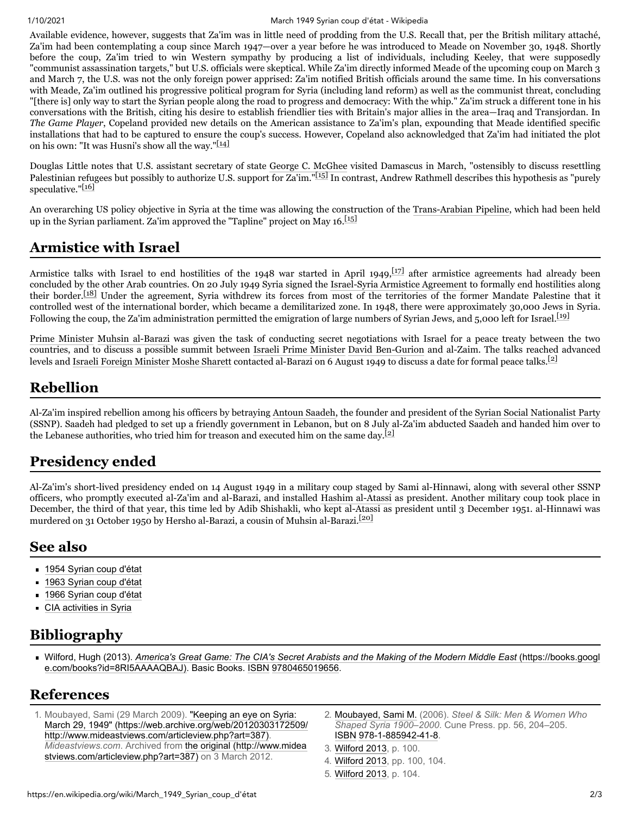#### 1/10/2021 March 1949 Syrian coup d'état - Wikipedia

Available evidence, however, suggests that Za'im was in little need of prodding from the U.S. Recall that, per the British military attaché, Za'im had been contemplating a coup since March 1947—over a year before he was introduced to Meade on November 30, 1948. Shortly before the coup, Za'im tried to win Western sympathy by producing a list of individuals, including Keeley, that were supposedly "communist assassination targets," but U.S. officials were skeptical. While Za'im directly informed Meade of the upcoming coup on March 3 and March 7, the U.S. was not the only foreign power apprised: Za'im notified British officials around the same time. In his conversations with Meade, Za'im outlined his progressive political program for Syria (including land reform) as well as the communist threat, concluding "[there is] only way to start the Syrian people along the road to progress and democracy: With the whip." Za'im struck a different tone in his conversations with the British, citing his desire to establish friendlier ties with Britain's major allies in the area—Iraq and Transjordan. In *The Game Player*, Copeland provided new details on the American assistance to Za'im's plan, expounding that Meade identified specific installations that had to be captured to ensure the coup's success. However, Copeland also acknowledged that Za'im had initiated the plot on his own: "It was Husni's show all the way." $[14]$ 

Douglas Little notes that U.S. assistant secretary of state [George C. McGhee](https://en.wikipedia.org/wiki/George_C._McGhee) visited Damascus in March, "ostensibly to discuss resettling Palestinian refugees but possibly to authorize U.S. support for Za'im."<sup>[\[15\]](#page-2-9)</sup> In contrast, Andrew Rathmell describes this hypothesis as "purely speculative."[\[16\]](#page-2-10)

An overarching US policy objective in Syria at the time was allowing the construction of the [Trans-Arabian Pipeline](https://en.wikipedia.org/wiki/Trans-Arabian_Pipeline), which had been held up in the Syrian parliament. Za'im approved the "Tapline" project on May 16.<sup>[\[15\]](#page-2-9)</sup>

#### <span id="page-1-2"></span>**Armistice with Israel**

Armistice talks with Israel to end hostilities of the 1948 war started in April 1949,<sup>[\[17\]](#page-2-11)</sup> after armistice agreements had already been concluded by the other Arab countries. On 20 July 1949 Syria signed the [Israel-Syria Armistice Agreement](https://en.wikipedia.org/wiki/1949_Armistice_Agreements) to formally end hostilities along their border.<sup>[\[18\]](#page-2-12)</sup> Under the agreement, Syria withdrew its forces from most of the territories of the former Mandate Palestine that it controlled west of the international border, which became a demilitarized zone. In 1948, there were approximately 30,000 Jews in Syria. Following the coup, the Za'im administration permitted the emigration of large numbers of Syrian Jews, and 5,000 left for Israel. [\[19\]](#page-2-13)

[Prime Minister](https://en.wikipedia.org/wiki/Prime_Minister_of_Syria) [Muhsin al-Barazi](https://en.wikipedia.org/wiki/Muhsin_al-Barazi) was given the task of conducting secret negotiations with Israel for a peace treaty between the two countries, and to discuss a possible summit between [Israeli Prime Minister](https://en.wikipedia.org/wiki/Prime_Minister_of_Israel) [David Ben-Gurion](https://en.wikipedia.org/wiki/David_Ben-Gurion) and al-Zaim. The talks reached advanced levels and [Israeli Foreign Minister](https://en.wikipedia.org/wiki/Foreign_Affairs_Minister_of_Israel) [Moshe Sharett](https://en.wikipedia.org/wiki/Moshe_Sharett) contacted al-Barazi on 6 August 1949 to discuss a date for formal peace talks.<sup>[\[2\]](#page-1-1)</sup>

#### <span id="page-1-3"></span>**Rebellion**

Al-Za'im inspired rebellion among his officers by betraying [Antoun Saadeh](https://en.wikipedia.org/wiki/Antoun_Saadeh), the founder and president of the [Syrian Social Nationalist Party](https://en.wikipedia.org/wiki/Syrian_Social_Nationalist_Party) (SSNP). Saadeh had pledged to set up a friendly government in Lebanon, but on 8 July al-Za'im abducted Saadeh and handed him over to the Lebanese authorities, who tried him for treason and executed him on the same day.<sup>[\[2\]](#page-1-1)</sup>

### <span id="page-1-4"></span>**Presidency ended**

Al-Za'im's short-lived presidency ended on 14 August 1949 in a military coup staged by Sami al-Hinnawi, along with several other SSNP officers, who promptly executed al-Za'im and al-Barazi, and installed [Hashim al-Atassi](https://en.wikipedia.org/wiki/Hashim_al-Atassi) as president. Another military coup took place in December, the third of that year, this time led by Adib Shishakli, who kept al-Atassi as president until 3 December 1951. al-Hinnawi was murdered on 31 October 1950 by Hersho al-Barazi, a cousin of Muhsin al-Barazi.[\[20\]](#page-2-14)

#### <span id="page-1-5"></span>**See also**

- [1954 Syrian coup d'état](https://en.wikipedia.org/wiki/1954_Syrian_coup_d%27%C3%A9tat)
- [1963 Syrian coup d'état](https://en.wikipedia.org/wiki/1963_Syrian_coup_d%27%C3%A9tat)
- [1966 Syrian coup d'état](https://en.wikipedia.org/wiki/1966_Syrian_coup_d%27%C3%A9tat)
- **[CIA activities in Syria](https://en.wikipedia.org/wiki/CIA_activities_in_Syria)**

## <span id="page-1-6"></span>**Bibliography**

<span id="page-1-11"></span>Wilford, Hugh (2013). *[America's Great Game: The CIA's Secret Arabists and the Making of the Modern Middle East](https://books.google.com/books?id=8RI5AAAAQBAJ)* (https://books.googl e.com/books?id=8RI5AAAAQBAJ). Basic Books. [ISBN](https://en.wikipedia.org/wiki/ISBN_(identifier)) [9780465019656.](https://en.wikipedia.org/wiki/Special:BookSources/9780465019656)

#### <span id="page-1-7"></span>**References**

- <span id="page-1-0"></span>1. Moubayed, Sami (29 March 2009). "Keeping an eye on Syria: [March 29, 1949" \(https://web.archive.org/web/20120303172509/](https://web.archive.org/web/20120303172509/http://www.mideastviews.com/articleview.php?art=387) http://www.mideastviews.com/articleview.php?art=387). *Mideastviews.com*. Archived from the original (http://www.midea [stviews.com/articleview.php?art=387\) on 3 March 2012.](http://www.mideastviews.com/articleview.php?art=387)
- <span id="page-1-1"></span>2. [Moubayed, Sami M.](https://en.wikipedia.org/wiki/Sami_Moubayed) (2006). *Steel & Silk: Men & Women Who Shaped Syria 1900–2000*. Cune Press. pp. 56, 204–205. [ISBN](https://en.wikipedia.org/wiki/ISBN_(identifier)) [978-1-885942-41-8](https://en.wikipedia.org/wiki/Special:BookSources/978-1-885942-41-8).
- <span id="page-1-8"></span>3. [Wilford 2013,](#page-1-11) p. 100.
- <span id="page-1-9"></span>4. [Wilford 2013,](#page-1-11) pp. 100, 104.
- <span id="page-1-10"></span>5. [Wilford 2013,](#page-1-11) p. 104.